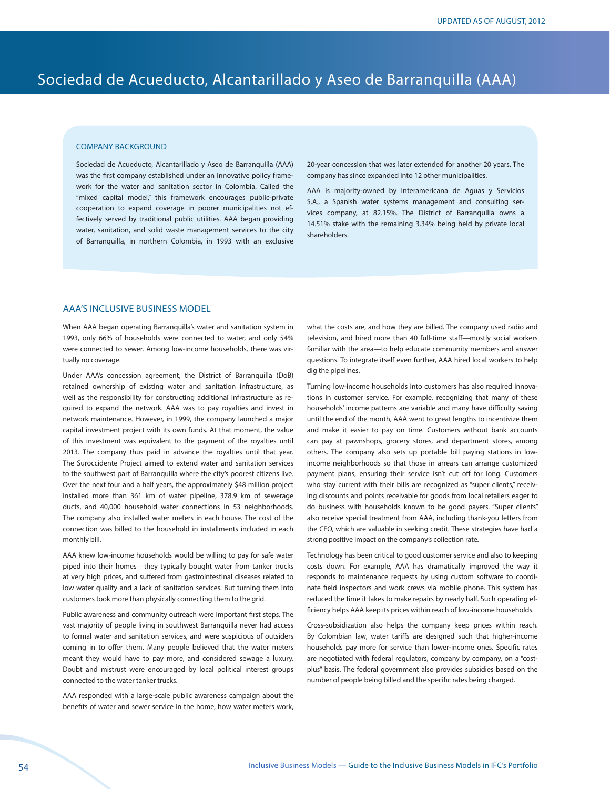# Sociedad de Acueducto, Alcantarillado y Aseo de Barranquilla (AAA)

#### COMPANY BACKGROUND

Sociedad de Acueducto, Alcantarillado y Aseo de Barranquilla (AAA) was the first company established under an innovative policy framework for the water and sanitation sector in Colombia. Called the "mixed capital model," this framework encourages public-private cooperation to expand coverage in poorer municipalities not effectively served by traditional public utilities. AAA began providing water, sanitation, and solid waste management services to the city of Barranquilla, in northern Colombia, in 1993 with an exclusive

20-year concession that was later extended for another 20 years. The company has since expanded into 12 other municipalities.

AAA is majority-owned by Interamericana de Aguas y Servicios S.A., a Spanish water systems management and consulting services company, at 82.15%. The District of Barranquilla owns a 14.51% stake with the remaining 3.34% being held by private local shareholders.

## AAA'S INCLUSIVE BUSINESS MODEL

When AAA began operating Barranquilla's water and sanitation system in 1993, only 66% of households were connected to water, and only 54% were connected to sewer. Among low-income households, there was virtually no coverage.

Under AAA's concession agreement, the District of Barranquilla (DoB) retained ownership of existing water and sanitation infrastructure, as well as the responsibility for constructing additional infrastructure as required to expand the network. AAA was to pay royalties and invest in network maintenance. However, in 1999, the company launched a major capital investment project with its own funds. At that moment, the value of this investment was equivalent to the payment of the royalties until 2013. The company thus paid in advance the royalties until that year. The Suroccidente Project aimed to extend water and sanitation services to the southwest part of Barranquilla where the city's poorest citizens live. Over the next four and a half years, the approximately \$48 million project installed more than 361 km of water pipeline, 378.9 km of sewerage ducts, and 40,000 household water connections in 53 neighborhoods. The company also installed water meters in each house. The cost of the connection was billed to the household in installments included in each monthly bill.

AAA knew low-income households would be willing to pay for safe water piped into their homes—they typically bought water from tanker trucks at very high prices, and suffered from gastrointestinal diseases related to low water quality and a lack of sanitation services. But turning them into customers took more than physically connecting them to the grid.

Public awareness and community outreach were important first steps. The vast majority of people living in southwest Barranquilla never had access to formal water and sanitation services, and were suspicious of outsiders coming in to offer them. Many people believed that the water meters meant they would have to pay more, and considered sewage a luxury. Doubt and mistrust were encouraged by local political interest groups connected to the water tanker trucks.

AAA responded with a large-scale public awareness campaign about the benefits of water and sewer service in the home, how water meters work,

what the costs are, and how they are billed. The company used radio and television, and hired more than 40 full-time staff—mostly social workers familiar with the area—to help educate community members and answer questions. To integrate itself even further, AAA hired local workers to help dig the pipelines.

Turning low-income households into customers has also required innovations in customer service. For example, recognizing that many of these households' income patterns are variable and many have difficulty saving until the end of the month, AAA went to great lengths to incentivize them and make it easier to pay on time. Customers without bank accounts can pay at pawnshops, grocery stores, and department stores, among others. The company also sets up portable bill paying stations in lowincome neighborhoods so that those in arrears can arrange customized payment plans, ensuring their service isn't cut off for long. Customers who stay current with their bills are recognized as "super clients," receiving discounts and points receivable for goods from local retailers eager to do business with households known to be good payers. "Super clients" also receive special treatment from AAA, including thank-you letters from the CEO, which are valuable in seeking credit. These strategies have had a strong positive impact on the company's collection rate.

Technology has been critical to good customer service and also to keeping costs down. For example, AAA has dramatically improved the way it responds to maintenance requests by using custom software to coordinate field inspectors and work crews via mobile phone. This system has reduced the time it takes to make repairs by nearly half. Such operating efficiency helps AAA keep its prices within reach of low-income households.

Cross-subsidization also helps the company keep prices within reach. By Colombian law, water tariffs are designed such that higher-income households pay more for service than lower-income ones. Specific rates are negotiated with federal regulators, company by company, on a "costplus" basis. The federal government also provides subsidies based on the number of people being billed and the specific rates being charged.